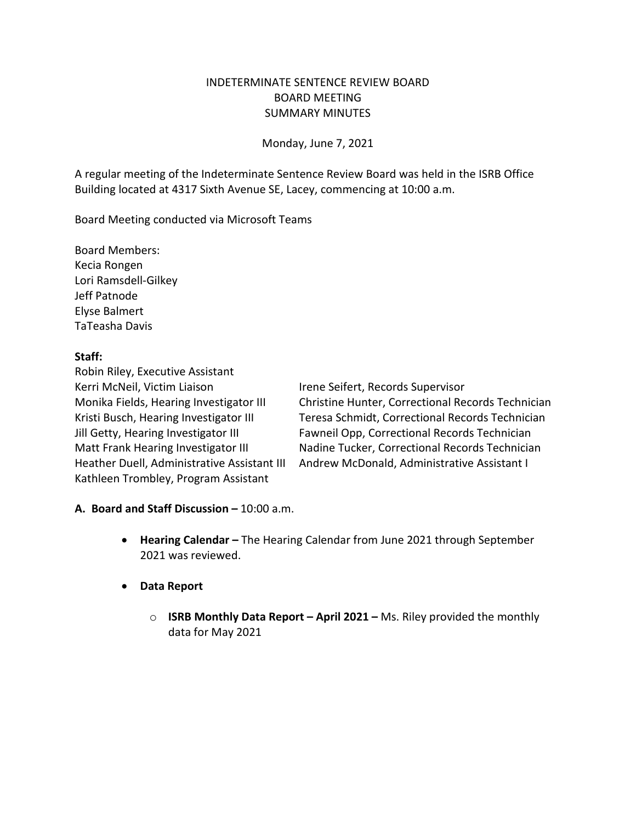#### INDETERMINATE SENTENCE REVIEW BOARD BOARD MEETING SUMMARY MINUTES

Monday, June 7, 2021

A regular meeting of the Indeterminate Sentence Review Board was held in the ISRB Office Building located at 4317 Sixth Avenue SE, Lacey, commencing at 10:00 a.m.

Board Meeting conducted via Microsoft Teams

Board Members: Kecia Rongen Lori Ramsdell-Gilkey Jeff Patnode Elyse Balmert TaTeasha Davis

#### **Staff:**

Robin Riley, Executive Assistant Kerri McNeil, Victim Liaison **Irene Seifert, Records Supervisor** Kathleen Trombley, Program Assistant

Monika Fields, Hearing Investigator III Christine Hunter, Correctional Records Technician Kristi Busch, Hearing Investigator III Teresa Schmidt, Correctional Records Technician Jill Getty, Hearing Investigator III Fawneil Opp, Correctional Records Technician Matt Frank Hearing Investigator III Nadine Tucker, Correctional Records Technician Heather Duell, Administrative Assistant III Andrew McDonald, Administrative Assistant I

#### **A. Board and Staff Discussion –** 10:00 a.m.

- **Hearing Calendar –** The Hearing Calendar from June 2021 through September 2021 was reviewed.
- **Data Report**
	- o **ISRB Monthly Data Report – April 2021 –** Ms. Riley provided the monthly data for May 2021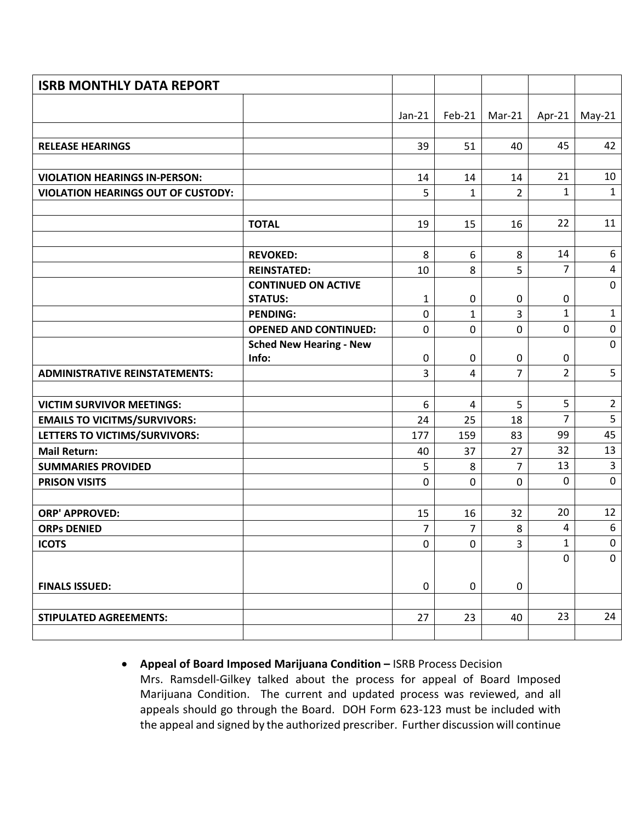| <b>ISRB MONTHLY DATA REPORT</b>           |                                |             |                               |                     |                     |                  |
|-------------------------------------------|--------------------------------|-------------|-------------------------------|---------------------|---------------------|------------------|
|                                           |                                |             |                               |                     |                     |                  |
|                                           |                                | $Jan-21$    | Feb-21                        | Mar-21              | Apr- $21$           | $May-21$         |
|                                           |                                | 39          | 51                            | 40                  | 45                  | 42               |
| <b>RELEASE HEARINGS</b>                   |                                |             |                               |                     |                     |                  |
| <b>VIOLATION HEARINGS IN-PERSON:</b>      |                                | 14          | 14                            | 14                  | 21                  | 10               |
| <b>VIOLATION HEARINGS OUT OF CUSTODY:</b> |                                | 5           | 1                             | $\overline{2}$      | $\mathbf{1}$        | $\mathbf{1}$     |
|                                           |                                |             |                               |                     |                     |                  |
|                                           | <b>TOTAL</b>                   | 19          | 15                            | 16                  | 22                  | 11               |
|                                           |                                |             |                               |                     |                     |                  |
|                                           | <b>REVOKED:</b>                | 8           | 6                             | 8                   | 14                  | 6                |
|                                           | <b>REINSTATED:</b>             | 10          | 8                             | 5                   | $\overline{7}$      | $\overline{4}$   |
|                                           | <b>CONTINUED ON ACTIVE</b>     |             |                               |                     |                     | $\mathbf 0$      |
|                                           | <b>STATUS:</b>                 | 1           | 0                             | 0                   | $\pmb{0}$           |                  |
|                                           | <b>PENDING:</b>                | $\mathbf 0$ | $\mathbf{1}$                  | $\overline{3}$      | $\mathbf{1}$        | $\mathbf{1}$     |
|                                           | <b>OPENED AND CONTINUED:</b>   | $\mathbf 0$ | $\pmb{0}$                     | $\mathbf 0$         | $\mathsf{O}$        | $\pmb{0}$        |
|                                           | <b>Sched New Hearing - New</b> |             |                               |                     |                     | $\mathbf 0$      |
| <b>ADMINISTRATIVE REINSTATEMENTS:</b>     | Info:                          | $\mathbf 0$ | $\mathbf 0$<br>$\overline{4}$ | 0<br>$\overline{7}$ | 0<br>$\overline{2}$ | 5                |
|                                           |                                | 3           |                               |                     |                     |                  |
| <b>VICTIM SURVIVOR MEETINGS:</b>          |                                | 6           | $\overline{4}$                | 5                   | 5                   | $\overline{2}$   |
| <b>EMAILS TO VICITMS/SURVIVORS:</b>       |                                | 24          | 25                            | 18                  | $\overline{7}$      | 5                |
| LETTERS TO VICTIMS/SURVIVORS:             |                                | 177         | 159                           | 83                  | 99                  | 45               |
| <b>Mail Return:</b>                       |                                | 40          | 37                            | 27                  | 32                  | 13               |
| <b>SUMMARIES PROVIDED</b>                 |                                | 5           | 8                             | $\overline{7}$      | 13                  | $\overline{3}$   |
| <b>PRISON VISITS</b>                      |                                | $\mathbf 0$ | $\mathbf 0$                   | $\mathbf 0$         | $\mathbf 0$         | $\pmb{0}$        |
|                                           |                                |             |                               |                     |                     |                  |
| <b>ORP' APPROVED:</b>                     |                                | 15          | 16                            | 32                  | 20                  | 12               |
| <b>ORPs DENIED</b>                        |                                | 7           | 7                             | 8                   | 4                   | $\boldsymbol{6}$ |
| <b>ICOTS</b>                              |                                | 0           | 0                             | 3                   | 1                   | 0                |
|                                           |                                |             |                               |                     | 0                   | $\mathbf 0$      |
|                                           |                                |             |                               |                     |                     |                  |
| <b>FINALS ISSUED:</b>                     |                                | $\pmb{0}$   | $\pmb{0}$                     | $\mathbf 0$         |                     |                  |
|                                           |                                |             |                               |                     |                     |                  |
| <b>STIPULATED AGREEMENTS:</b>             |                                | 27          | 23                            | 40                  | 23                  | 24               |
|                                           |                                |             |                               |                     |                     |                  |

• **Appeal of Board Imposed Marijuana Condition –** ISRB Process Decision Mrs. Ramsdell-Gilkey talked about the process for appeal of Board Imposed Marijuana Condition. The current and updated process was reviewed, and all appeals should go through the Board. DOH Form 623-123 must be included with the appeal and signed by the authorized prescriber. Further discussion will continue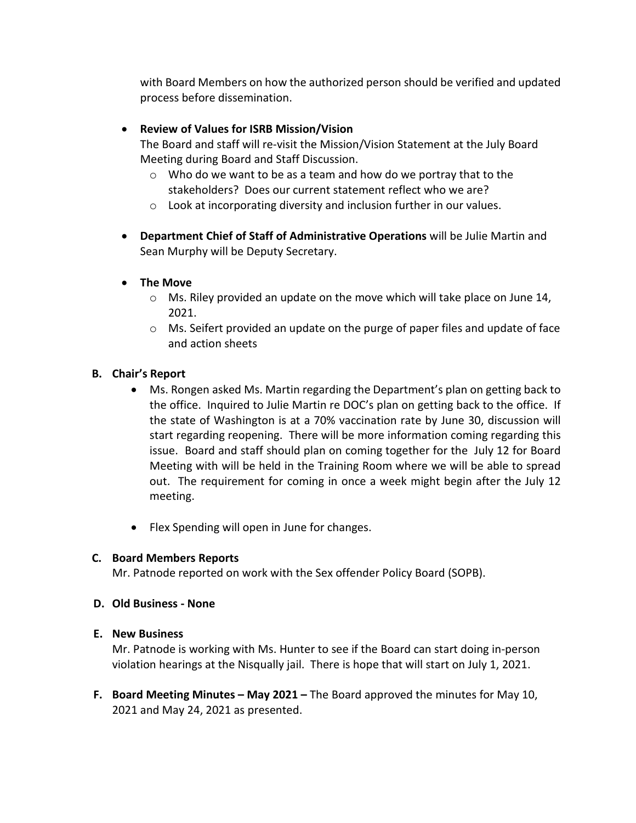with Board Members on how the authorized person should be verified and updated process before dissemination.

# • **Review of Values for ISRB Mission/Vision**

The Board and staff will re-visit the Mission/Vision Statement at the July Board Meeting during Board and Staff Discussion.

- $\circ$  Who do we want to be as a team and how do we portray that to the stakeholders? Does our current statement reflect who we are?
- o Look at incorporating diversity and inclusion further in our values.
- **Department Chief of Staff of Administrative Operations** will be Julie Martin and Sean Murphy will be Deputy Secretary.
- **The Move**
	- $\circ$  Ms. Riley provided an update on the move which will take place on June 14, 2021.
	- o Ms. Seifert provided an update on the purge of paper files and update of face and action sheets

## **B. Chair's Report**

- Ms. Rongen asked Ms. Martin regarding the Department's plan on getting back to the office. Inquired to Julie Martin re DOC's plan on getting back to the office. If the state of Washington is at a 70% vaccination rate by June 30, discussion will start regarding reopening. There will be more information coming regarding this issue. Board and staff should plan on coming together for the July 12 for Board Meeting with will be held in the Training Room where we will be able to spread out. The requirement for coming in once a week might begin after the July 12 meeting.
- Flex Spending will open in June for changes.

## **C. Board Members Reports**

Mr. Patnode reported on work with the Sex offender Policy Board (SOPB).

## **D. Old Business - None**

## **E. New Business**

Mr. Patnode is working with Ms. Hunter to see if the Board can start doing in-person violation hearings at the Nisqually jail. There is hope that will start on July 1, 2021.

**F. Board Meeting Minutes – May 2021 –** The Board approved the minutes for May 10, 2021 and May 24, 2021 as presented.